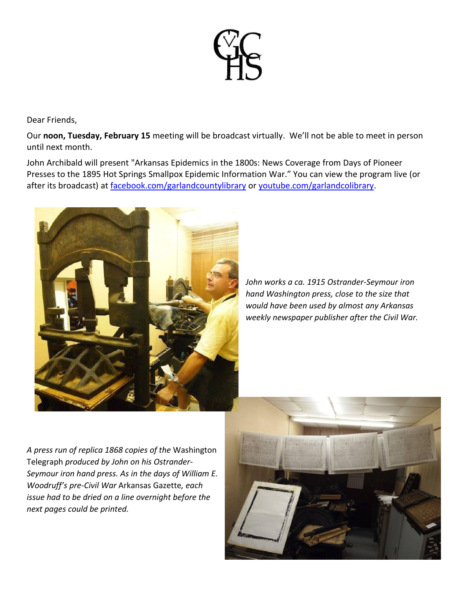

Dear Friends,

Our **noon, Tuesday, February 15** meeting will be broadcast virtually. We'll not be able to meet in person until next month.

John Archibald will present "Arkansas Epidemics in the 1800s: News Coverage from Days of Pioneer Presses to the 1895 Hot Springs Smallpox Epidemic Information War." You can view the program live (or after its broadcast) at [facebook.com/garlandcountylibrary](http://facebook.com/garlandcountylibrary) or [youtube.com/garlandcolibrary.](http://youtube.com/garlandcolibrary)



*John works a ca. 1915 Ostrander-Seymour iron hand Washington press, close to the size that would have been used by almost any Arkansas weekly newspaper publisher after the Civil War.*

*A press run of replica 1868 copies of the* Washington Telegraph *produced by John on his Ostrander-Seymour iron hand press. As in the days of William E. Woodruff's pre-Civil War* Arkansas Gazette*, each issue had to be dried on a line overnight before the next pages could be printed.*

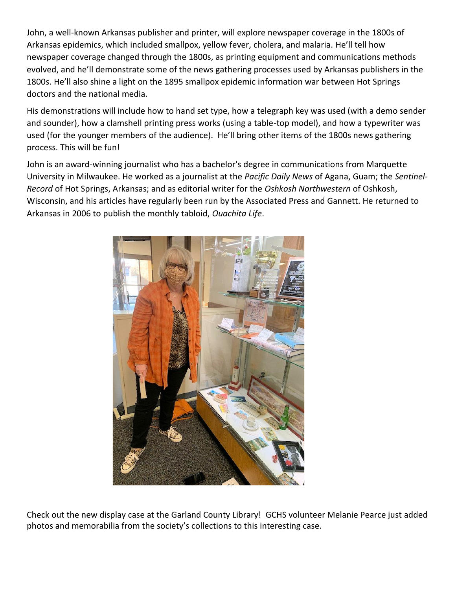John, a well-known Arkansas publisher and printer, will explore newspaper coverage in the 1800s of Arkansas epidemics, which included smallpox, yellow fever, cholera, and malaria. He'll tell how newspaper coverage changed through the 1800s, as printing equipment and communications methods evolved, and he'll demonstrate some of the news gathering processes used by Arkansas publishers in the 1800s. He'll also shine a light on the 1895 smallpox epidemic information war between Hot Springs doctors and the national media.

His demonstrations will include how to hand set type, how a telegraph key was used (with a demo sender and sounder), how a clamshell printing press works (using a table-top model), and how a typewriter was used (for the younger members of the audience). He'll bring other items of the 1800s news gathering process. This will be fun!

John is an award-winning journalist who has a bachelor's degree in communications from Marquette University in Milwaukee. He worked as a journalist at the *Pacific Daily News* of Agana, Guam; the *Sentinel-Record* of Hot Springs, Arkansas; and as editorial writer for the *Oshkosh Northwestern* of Oshkosh, Wisconsin, and his articles have regularly been run by the Associated Press and Gannett. He returned to Arkansas in 2006 to publish the monthly tabloid, *Ouachita Life*.



Check out the new display case at the Garland County Library! GCHS volunteer Melanie Pearce just added photos and memorabilia from the society's collections to this interesting case.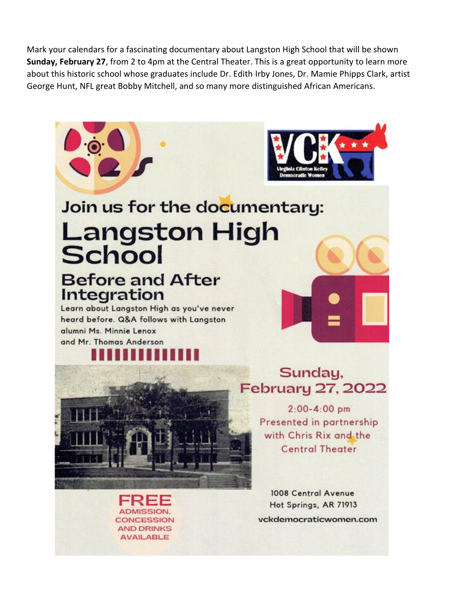Mark your calendars for a fascinating documentary about Langston High School that will be shown **Sunday, February 27**, from 2 to 4pm at the Central Theater. This is a great opportunity to learn more about this historic school whose graduates include Dr. Edith Irby Jones, Dr. Mamie Phipps Clark, artist George Hunt, NFL great Bobby Mitchell, and so many more distinguished African Americans.

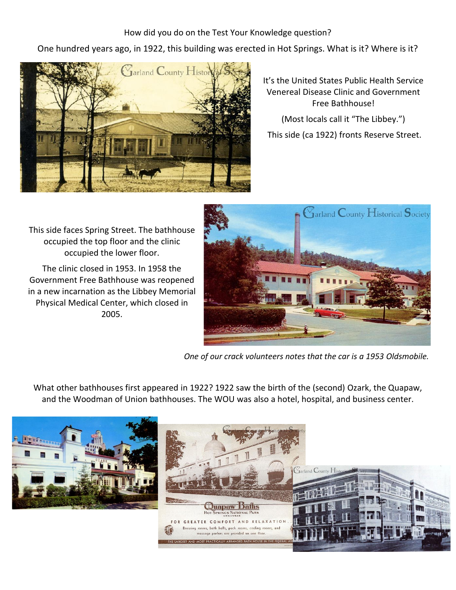How did you do on the Test Your Knowledge question?

One hundred years ago, in 1922, this building was erected in Hot Springs. What is it? Where is it?



It's the United States Public Health Service Venereal Disease Clinic and Government Free Bathhouse!

(Most locals call it "The Libbey.")

This side (ca 1922) fronts Reserve Street.

This side faces Spring Street. The bathhouse occupied the top floor and the clinic occupied the lower floor.

The clinic closed in 1953. In 1958 the Government Free Bathhouse was reopened in a new incarnation as the Libbey Memorial Physical Medical Center, which closed in 2005.



*One of our crack volunteers notes that the car is a 1953 Oldsmobile.*

What other bathhouses first appeared in 1922? 1922 saw the birth of the (second) Ozark, the Quapaw, and the Woodman of Union bathhouses. The WOU was also a hotel, hospital, and business center.

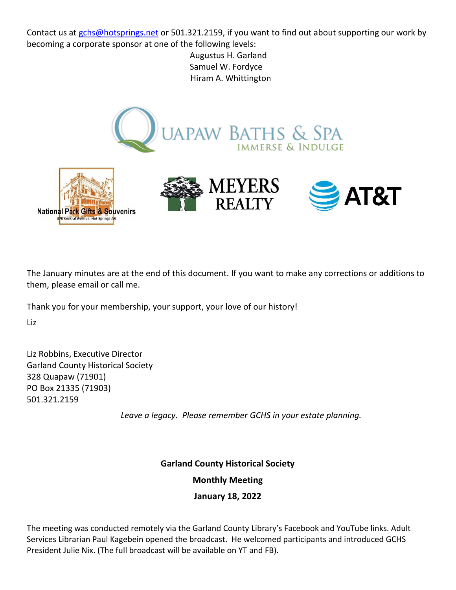Contact us at [gchs@hotsprings.net](mailto:gchs@hotsprings.net) or 501.321.2159, if you want to find out about supporting our work by becoming a corporate sponsor at one of the following levels:

> Augustus H. Garland Samuel W. Fordyce Hiram A. Whittington



The January minutes are at the end of this document. If you want to make any corrections or additions to them, please email or call me.

Thank you for your membership, your support, your love of our history!

Liz

Liz Robbins, Executive Director Garland County Historical Society 328 Quapaw (71901) PO Box 21335 (71903) 501.321.2159

*Leave a legacy. Please remember GCHS in your estate planning.*

**Garland County Historical Society**

**Monthly Meeting**

**January 18, 2022**

The meeting was conducted remotely via the Garland County Library's Facebook and YouTube links. Adult Services Librarian Paul Kagebein opened the broadcast. He welcomed participants and introduced GCHS President Julie Nix. (The full broadcast will be available on YT and FB).